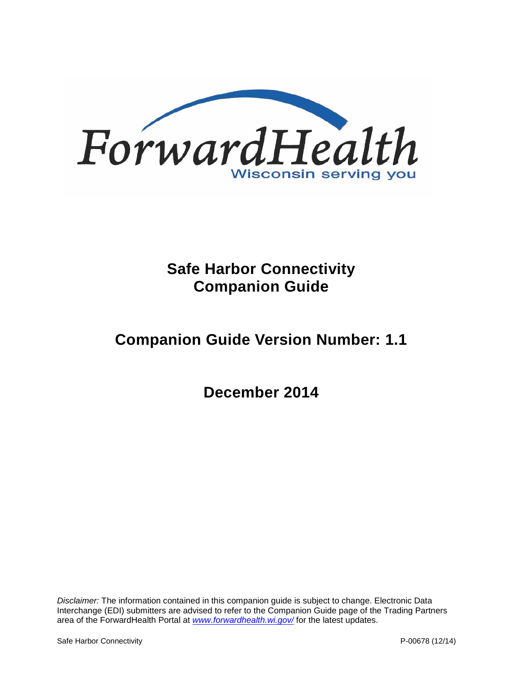

# **Safe Harbor Connectivity Companion Guide**

# **Companion Guide Version Number: 1.1**

**December 2014**

*Disclaimer:* The information contained in this companion guide is subject to change. Electronic Data Interchange (EDI) submitters are advised to refer to the Companion Guide page of the Trading Partners area of the ForwardHealth Portal at *[www.forwardhealth.wi.gov/](http://www.forwardhealth.wi.gov/)* for the latest updates.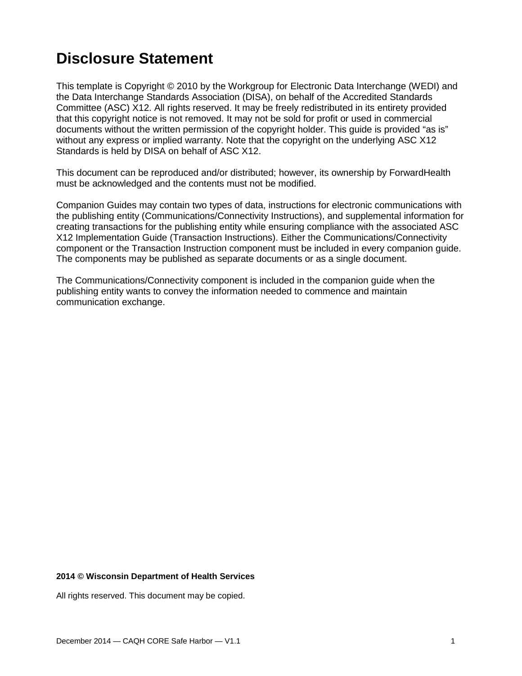# **Disclosure Statement**

This template is Copyright © 2010 by the Workgroup for Electronic Data Interchange (WEDI) and the Data Interchange Standards Association (DISA), on behalf of the Accredited Standards Committee (ASC) X12. All rights reserved. It may be freely redistributed in its entirety provided that this copyright notice is not removed. It may not be sold for profit or used in commercial documents without the written permission of the copyright holder. This guide is provided "as is" without any express or implied warranty. Note that the copyright on the underlying ASC X12 Standards is held by DISA on behalf of ASC X12.

This document can be reproduced and/or distributed; however, its ownership by ForwardHealth must be acknowledged and the contents must not be modified.

Companion Guides may contain two types of data, instructions for electronic communications with the publishing entity (Communications/Connectivity Instructions), and supplemental information for creating transactions for the publishing entity while ensuring compliance with the associated ASC X12 Implementation Guide (Transaction Instructions). Either the Communications/Connectivity component or the Transaction Instruction component must be included in every companion guide. The components may be published as separate documents or as a single document.

The Communications/Connectivity component is included in the companion guide when the publishing entity wants to convey the information needed to commence and maintain communication exchange.

#### **2014 © Wisconsin Department of Health Services**

All rights reserved. This document may be copied.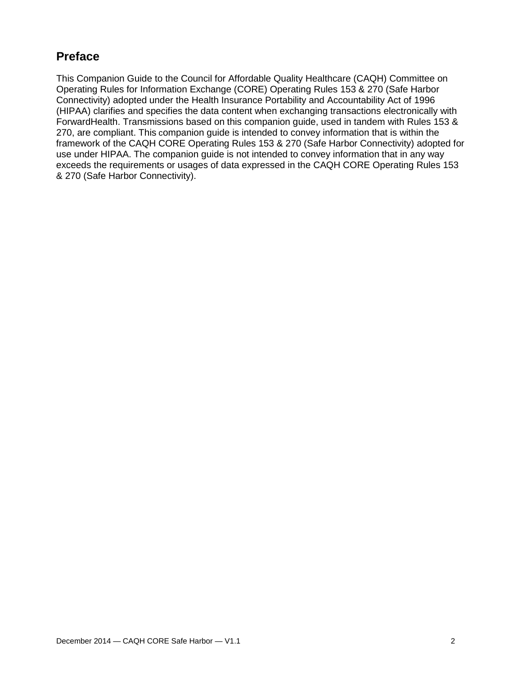### **Preface**

This Companion Guide to the Council for Affordable Quality Healthcare (CAQH) Committee on Operating Rules for Information Exchange (CORE) Operating Rules 153 & 270 (Safe Harbor Connectivity) adopted under the Health Insurance Portability and Accountability Act of 1996 (HIPAA) clarifies and specifies the data content when exchanging transactions electronically with ForwardHealth. Transmissions based on this companion guide, used in tandem with Rules 153 & 270, are compliant. This companion guide is intended to convey information that is within the framework of the CAQH CORE Operating Rules 153 & 270 (Safe Harbor Connectivity) adopted for use under HIPAA. The companion guide is not intended to convey information that in any way exceeds the requirements or usages of data expressed in the CAQH CORE Operating Rules 153 & 270 (Safe Harbor Connectivity).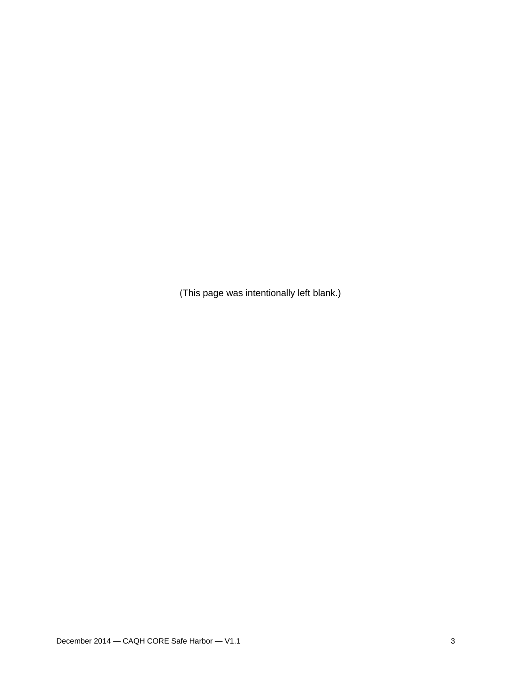(This page was intentionally left blank.)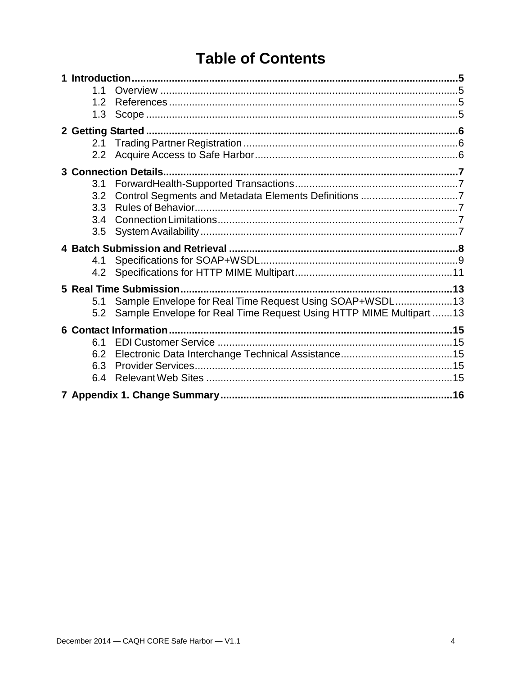# **Table of Contents**

| 11<br>12<br>1.3                 |                                                                                                                                                        |  |
|---------------------------------|--------------------------------------------------------------------------------------------------------------------------------------------------------|--|
| 2.1<br>2.2 <sub>2</sub>         |                                                                                                                                                        |  |
| 3.1<br>3.2<br>3.3<br>3.4<br>3.5 |                                                                                                                                                        |  |
| 4.1<br>4.2                      |                                                                                                                                                        |  |
| 5.1<br>5.2                      | 5 Real Time Submission<br>Sample Envelope for Real Time Request Using SOAP+WSDL13<br>Sample Envelope for Real Time Request Using HTTP MIME Multipart13 |  |
| 6 1<br>6.2<br>6.3<br>6.4        |                                                                                                                                                        |  |
|                                 |                                                                                                                                                        |  |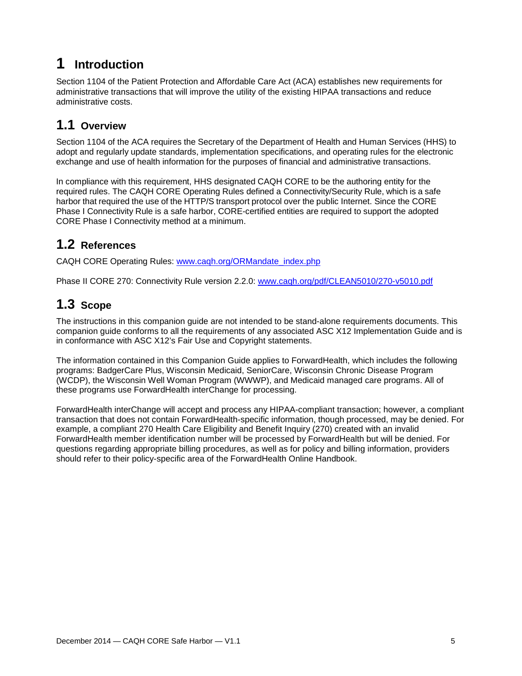## <span id="page-5-0"></span>**1 Introduction**

Section 1104 of the Patient Protection and Affordable Care Act (ACA) establishes new requirements for administrative transactions that will improve the utility of the existing HIPAA transactions and reduce administrative costs.

## <span id="page-5-1"></span>**1.1 Overview**

Section 1104 of the ACA requires the Secretary of the Department of Health and Human Services (HHS) to adopt and regularly update standards, implementation specifications, and operating rules for the electronic exchange and use of health information for the purposes of financial and administrative transactions.

In compliance with this requirement, HHS designated CAQH CORE to be the authoring entity for the required rules. The CAQH CORE Operating Rules defined a Connectivity/Security Rule, which is a safe harbor that required the use of the HTTP/S transport protocol over the public Internet. Since the CORE Phase I Connectivity Rule is a safe harbor, CORE-certified entities are required to support the adopted CORE Phase I Connectivity method at a minimum.

### <span id="page-5-2"></span>**1.2 References**

CAQH CORE Operating Rules: [www.caqh.org/ORMandate\\_index.php](http://www.caqh.org/ORMandate_index.php)

<span id="page-5-3"></span>Phase II CORE 270: Connectivity Rule version 2.2.0: [www.caqh.org/pdf/CLEAN5010/270-v5010.pdf](http://www.caqh.org/pdf/CLEAN5010/270-v5010.pdf)

## **1.3 Scope**

The instructions in this companion guide are not intended to be stand-alone requirements documents. This companion guide conforms to all the requirements of any associated ASC X12 Implementation Guide and is in conformance with ASC X12's Fair Use and Copyright statements.

The information contained in this Companion Guide applies to ForwardHealth, which includes the following programs: BadgerCare Plus, Wisconsin Medicaid, SeniorCare, Wisconsin Chronic Disease Program (WCDP), the Wisconsin Well Woman Program (WWWP), and Medicaid managed care programs. All of these programs use ForwardHealth interChange for processing.

ForwardHealth interChange will accept and process any HIPAA-compliant transaction; however, a compliant transaction that does not contain ForwardHealth-specific information, though processed, may be denied. For example, a compliant 270 Health Care Eligibility and Benefit Inquiry (270) created with an invalid ForwardHealth member identification number will be processed by ForwardHealth but will be denied. For questions regarding appropriate billing procedures, as well as for policy and billing information, providers should refer to their policy-specific area of the ForwardHealth Online Handbook.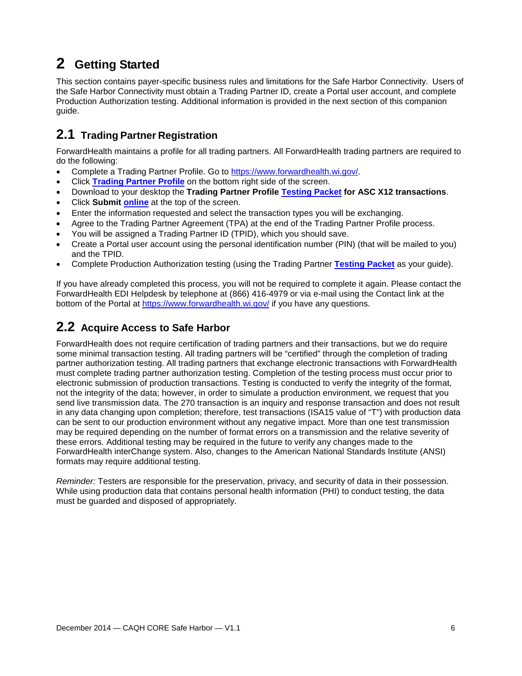# <span id="page-6-0"></span>**2 Getting Started**

This section contains payer-specific business rules and limitations for the Safe Harbor Connectivity. Users of the Safe Harbor Connectivity must obtain a Trading Partner ID, create a Portal user account, and complete Production Authorization testing. Additional information is provided in the next section of this companion guide.

### <span id="page-6-1"></span>**2.1 Trading Partner Registration**

ForwardHealth maintains a profile for all trading partners. All ForwardHealth trading partners are required to do the following:

- Complete a Trading Partner Profile. Go to [https://www.forwardhealth.wi.gov/.](https://www.forwardhealth.wi.gov/)
- Click **Trading Partner Profile** on the bottom right side of the screen.
- Download to your desktop the **Trading Partner Profile Testing Packet for ASC X12 transactions**.
- Click **Submit online** at the top of the screen.
- Enter the information requested and select the transaction types you will be exchanging.
- Agree to the Trading Partner Agreement (TPA) at the end of the Trading Partner Profile process.
- You will be assigned a Trading Partner ID (TPID), which you should save.
- Create a Portal user account using the personal identification number (PIN) (that will be mailed to you) and the TPID.
- Complete Production Authorization testing (using the Trading Partner **Testing Packet** as your guide).

If you have already completed this process, you will not be required to complete it again. Please contact the ForwardHealth EDI Helpdesk by telephone at (866) 416-4979 or via e-mail using the Contact link at the bottom of the Portal at<https://www.forwardhealth.wi.gov/> if you have any questions.

### <span id="page-6-2"></span>**2.2 Acquire Access to Safe Harbor**

ForwardHealth does not require certification of trading partners and their transactions, but we do require some minimal transaction testing. All trading partners will be "certified" through the completion of trading partner authorization testing. All trading partners that exchange electronic transactions with ForwardHealth must complete trading partner authorization testing. Completion of the testing process must occur prior to electronic submission of production transactions. Testing is conducted to verify the integrity of the format, not the integrity of the data; however, in order to simulate a production environment, we request that you send live transmission data. The 270 transaction is an inquiry and response transaction and does not result in any data changing upon completion; therefore, test transactions (ISA15 value of "T") with production data can be sent to our production environment without any negative impact. More than one test transmission may be required depending on the number of format errors on a transmission and the relative severity of these errors. Additional testing may be required in the future to verify any changes made to the ForwardHealth interChange system. Also, changes to the American National Standards Institute (ANSI) formats may require additional testing.

*Reminder:* Testers are responsible for the preservation, privacy, and security of data in their possession. While using production data that contains personal health information (PHI) to conduct testing, the data must be guarded and disposed of appropriately.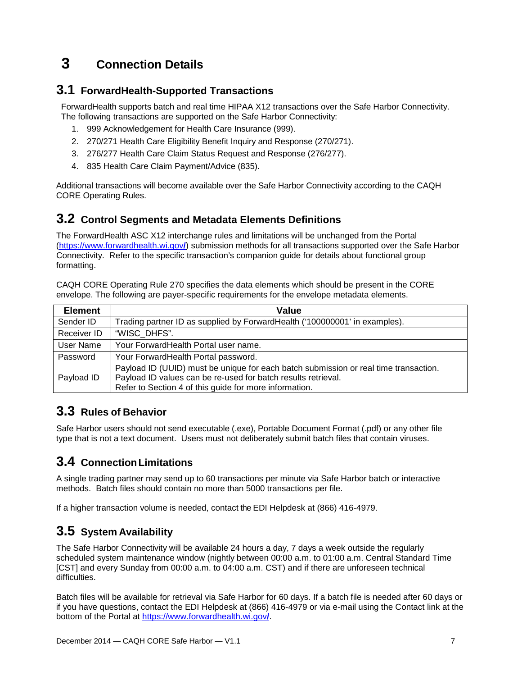# <span id="page-7-0"></span>**3 Connection Details**

#### <span id="page-7-1"></span>**3.1 ForwardHealth-Supported Transactions**

ForwardHealth supports batch and real time HIPAA X12 transactions over the Safe Harbor Connectivity. The following transactions are supported on the Safe Harbor Connectivity:

- 1. 999 Acknowledgement for Health Care Insurance (999).
- 2. 270/271 Health Care Eligibility Benefit Inquiry and Response (270/271).
- 3. 276/277 Health Care Claim Status Request and Response (276/277).
- 4. 835 Health Care Claim Payment/Advice (835).

Additional transactions will become available over the Safe Harbor Connectivity according to the CAQH CORE Operating Rules.

#### <span id="page-7-2"></span>**3.2 Control Segments and Metadata Elements Definitions**

The ForwardHealth ASC X12 interchange rules and limitations will be unchanged from the Portal [\(https://www.forwardhealth.wi.gov](https://www.forwardhealth.wi.gov/)**/**) submission methods for all transactions supported over the Safe Harbor Connectivity. Refer to the specific transaction's companion guide for details about functional group formatting.

CAQH CORE Operating Rule 270 specifies the data elements which should be present in the CORE envelope. The following are payer-specific requirements for the envelope metadata elements.

| <b>Element</b> | Value                                                                                |  |  |
|----------------|--------------------------------------------------------------------------------------|--|--|
| Sender ID      | Trading partner ID as supplied by ForwardHealth ('100000001' in examples).           |  |  |
| Receiver ID    | "WISC DHFS".                                                                         |  |  |
| User Name      | Your ForwardHealth Portal user name.                                                 |  |  |
| Password       | Your ForwardHealth Portal password.                                                  |  |  |
|                | Payload ID (UUID) must be unique for each batch submission or real time transaction. |  |  |
| Payload ID     | Payload ID values can be re-used for batch results retrieval.                        |  |  |
|                | Refer to Section 4 of this guide for more information.                               |  |  |

### <span id="page-7-3"></span>**3.3 Rules of Behavior**

Safe Harbor users should not send executable (.exe), Portable Document Format (.pdf) or any other file type that is not a text document. Users must not deliberately submit batch files that contain viruses.

### <span id="page-7-4"></span>**3.4 ConnectionLimitations**

A single trading partner may send up to 60 transactions per minute via Safe Harbor batch or interactive methods. Batch files should contain no more than 5000 transactions per file.

<span id="page-7-5"></span>If a higher transaction volume is needed, contact the EDI Helpdesk at (866) 416-4979.

### **3.5 System Availability**

The Safe Harbor Connectivity will be available 24 hours a day, 7 days a week outside the regularly scheduled system maintenance window (nightly between 00:00 a.m. to 01:00 a.m. Central Standard Time [CST] and every Sunday from 00:00 a.m. to 04:00 a.m. CST) and if there are unforeseen technical difficulties.

Batch files will be available for retrieval via Safe Harbor for 60 days. If a batch file is needed after 60 days or if you have questions, contact the EDI Helpdesk at (866) 416-4979 or via e-mail using the Contact link at the bottom of the Portal at [https://www.forwardhealth.wi.gov](https://www.forwardhealth.wi.gov/)**/**.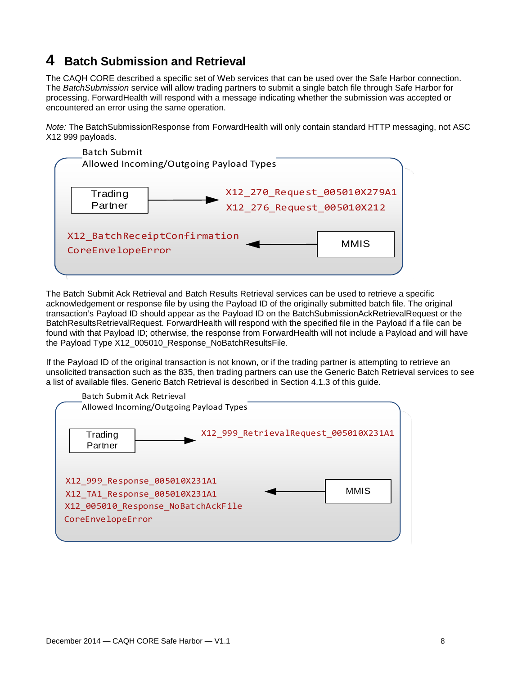## <span id="page-8-0"></span>**4 Batch Submission and Retrieval**

The CAQH CORE described a specific set of Web services that can be used over the Safe Harbor connection. The *BatchSubmission* service will allow trading partners to submit a single batch file through Safe Harbor for processing. ForwardHealth will respond with a message indicating whether the submission was accepted or encountered an error using the same operation.

*Note:* The BatchSubmissionResponse from ForwardHealth will only contain standard HTTP messaging, not ASC X12 999 payloads.



The Batch Submit Ack Retrieval and Batch Results Retrieval services can be used to retrieve a specific acknowledgement or response file by using the Payload ID of the originally submitted batch file. The original transaction's Payload ID should appear as the Payload ID on the BatchSubmissionAckRetrievalRequest or the BatchResultsRetrievalRequest. ForwardHealth will respond with the specified file in the Payload if a file can be found with that Payload ID; otherwise, the response from ForwardHealth will not include a Payload and will have the Payload Type X12\_005010\_Response\_NoBatchResultsFile.

If the Payload ID of the original transaction is not known, or if the trading partner is attempting to retrieve an unsolicited transaction such as the 835, then trading partners can use the Generic Batch Retrieval services to see a list of available files. Generic Batch Retrieval is described in Section 4.1.3 of this guide.

![](_page_8_Figure_6.jpeg)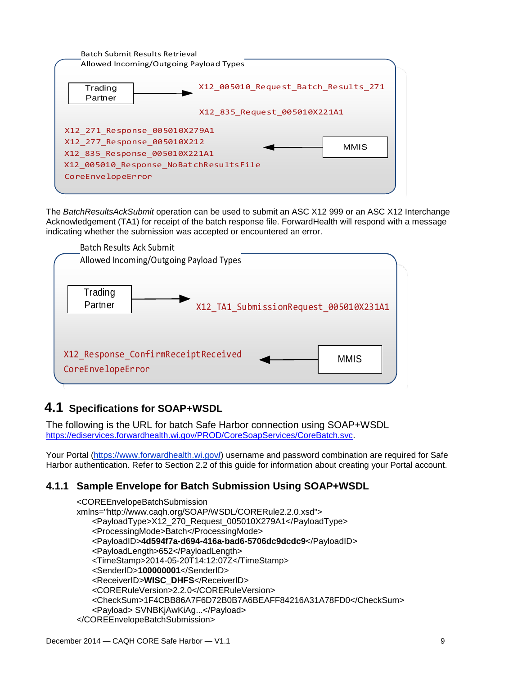![](_page_9_Figure_0.jpeg)

The *BatchResultsAckSubmit* operation can be used to submit an ASC X12 999 or an ASC X12 Interchange Acknowledgement (TA1) for receipt of the batch response file. ForwardHealth will respond with a message indicating whether the submission was accepted or encountered an error.

![](_page_9_Figure_2.jpeg)

### <span id="page-9-0"></span>**4.1 Specifications for SOAP+WSDL**

The following is the URL for batch Safe Harbor connection using SOAP+WSDL [https://ediservices.forwardhealth.wi.gov/PROD/CoreSoapServices/CoreBatch.svc.](https://ediservices.forwardhealth.wi.gov/PROD/CoreSoapServices/CoreBatch.svc)

Your Portal [\(https://www.forwardhealth.wi.gov](https://www.forwardhealth.wi.gov/)**/**) username and password combination are required for Safe Harbor authentication. Refer to Section 2.2 of this guide for information about creating your Portal account.

#### **4.1.1 Sample Envelope for Batch Submission Using SOAP+WSDL**

```
<COREEnvelopeBatchSubmission 
xmlns="http://www.caqh.org/SOAP/WSDL/CORERule2.2.0.xsd">
   <PayloadType>X12_270_Request_005010X279A1</PayloadType>
   <ProcessingMode>Batch</ProcessingMode>
   <PayloadID>4d594f7a-d694-416a-bad6-5706dc9dcdc9</PayloadID>
   <PayloadLength>652</PayloadLength>
   <TimeStamp>2014-05-20T14:12:07Z</TimeStamp>
   <SenderID>100000001</SenderID>
   <ReceiverID>WISC_DHFS</ReceiverID>
   <CORERuleVersion>2.2.0</CORERuleVersion>
   <CheckSum>1F4CBB86A7F6D72B0B7A6BEAFF84216A31A78FD0</CheckSum>
   <Payload> SVNBKjAwKiAg...</Payload> 
</COREEnvelopeBatchSubmission>
```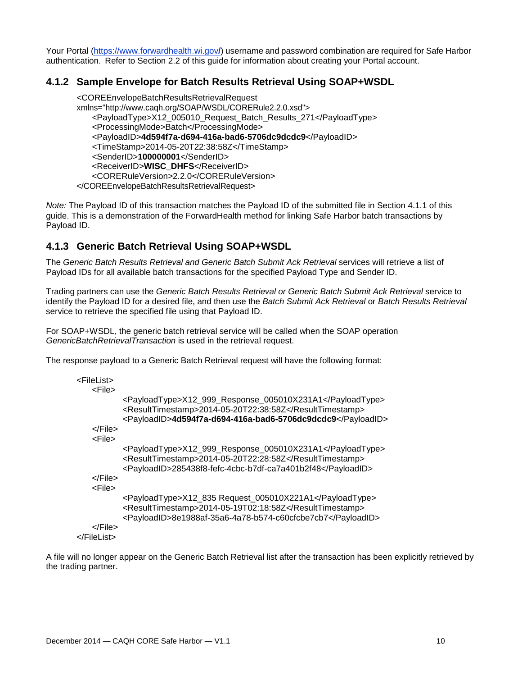Your Portal [\(https://www.forwardhealth.wi.gov](https://www.forwardhealth.wi.gov/)**/**) username and password combination are required for Safe Harbor authentication. Refer to Section 2.2 of this guide for information about creating your Portal account.

#### **4.1.2 Sample Envelope for Batch Results Retrieval Using SOAP+WSDL**

<COREEnvelopeBatchResultsRetrievalRequest xmlns[="http://www.caqh.org/SOAP/WSDL/CORERule2.2.0.xsd">](http://www.caqh.org/SOAP/WSDL/CORERule2.2.0.xsd) <PayloadType>X12\_005010\_Request\_Batch\_Results\_271</PayloadType> <ProcessingMode>Batch</ProcessingMode> <PayloadID>**4d594f7a-d694-416a-bad6-5706dc9dcdc9**</PayloadID> <TimeStamp>2014-05-20T22:38:58Z</TimeStamp> <SenderID>**100000001**</SenderID> <ReceiverID>**WISC\_DHFS**</ReceiverID> <CORERuleVersion>2.2.0</CORERuleVersion> </COREEnvelopeBatchResultsRetrievalRequest>

*Note:* The Payload ID of this transaction matches the Payload ID of the submitted file in Section 4.1.1 of this guide. This is a demonstration of the ForwardHealth method for linking Safe Harbor batch transactions by Payload ID.

#### **4.1.3 Generic Batch Retrieval Using SOAP+WSDL**

The *Generic Batch Results Retrieval and Generic Batch Submit Ack Retrieval* services will retrieve a list of Payload IDs for all available batch transactions for the specified Payload Type and Sender ID.

Trading partners can use the *Generic Batch Results Retrieval or Generic Batch Submit Ack Retrieval* service to identify the Payload ID for a desired file, and then use the *Batch Submit Ack Retrieval* or *Batch Results Retrieval*  service to retrieve the specified file using that Payload ID.

For SOAP+WSDL, the generic batch retrieval service will be called when the SOAP operation *GenericBatchRetrievalTransaction* is used in the retrieval request.

The response payload to a Generic Batch Retrieval request will have the following format:

| <filelist></filelist> |                                                                                                                                                                                    |
|-----------------------|------------------------------------------------------------------------------------------------------------------------------------------------------------------------------------|
| <file></file>         |                                                                                                                                                                                    |
|                       | <payloadtype>X12_999_Response_005010X231A1</payloadtype><br><resulttimestamp>2014-05-20T22:38:58Z</resulttimestamp><br><payloadid>4d594f7a-d694-416a-bad6-5706dc9dcdc9</payloadid> |
| $\langle$ File>       |                                                                                                                                                                                    |
| <file></file>         |                                                                                                                                                                                    |
|                       | <payloadtype>X12_999_Response_005010X231A1</payloadtype><br><resulttimestamp>2014-05-20T22:28:58Z</resulttimestamp><br><payloadid>285438f8-fefc-4cbc-b7df-ca7a401b2f48</payloadid> |
| $\langle$ File>       |                                                                                                                                                                                    |
| <file></file>         |                                                                                                                                                                                    |
|                       | <payloadtype>X12_835 Request_005010X221A1</payloadtype><br><resulttimestamp>2014-05-19T02:18:58Z</resulttimestamp><br><payloadid>8e1988af-35a6-4a78-b574-c60cfcbe7cb7</payloadid>  |
| $\langle$ File>       |                                                                                                                                                                                    |
|                       |                                                                                                                                                                                    |

A file will no longer appear on the Generic Batch Retrieval list after the transaction has been explicitly retrieved by the trading partner.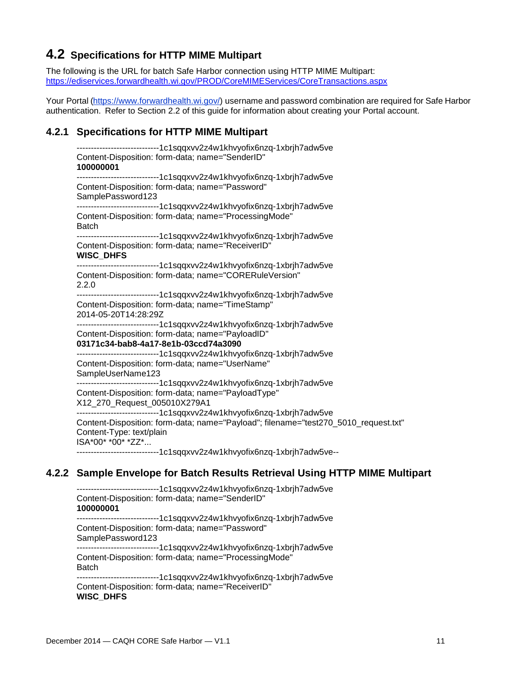#### <span id="page-11-0"></span>**4.2 Specifications for HTTP MIME Multipart**

The following is the URL for batch Safe Harbor connection using HTTP MIME Multipart: <https://ediservices.forwardhealth.wi.gov/PROD/CoreMIMEServices/CoreTransactions.aspx>

Your Portal [\(https://www.forwardhealth.wi.gov/\)](https://www.forwardhealth.wi.gov/) username and password combination are required for Safe Harbor authentication. Refer to Section 2.2 of this guide for information about creating your Portal account.

#### **4.2.1 Specifications for HTTP MIME Multipart**

-----------------------------1c1sqqxvv2z4w1khvyofix6nzq-1xbrjh7adw5ve Content-Disposition: form-data; name="SenderID" **100000001** -----------------------------1c1sqqxvv2z4w1khvyofix6nzq-1xbrjh7adw5ve Content-Disposition: form-data; name="Password" SamplePassword123 -----------------------------1c1sqqxvv2z4w1khvyofix6nzq-1xbrjh7adw5ve Content-Disposition: form-data; name="ProcessingMode" **Batch** -----------------------------1c1sqqxvv2z4w1khvyofix6nzq-1xbrjh7adw5ve Content-Disposition: form-data; name="ReceiverID" **WISC\_DHFS** -----------------------------1c1sqqxvv2z4w1khvyofix6nzq-1xbrjh7adw5ve Content-Disposition: form-data; name="CORERuleVersion" 2.2.0 -----------------------------1c1sqqxvv2z4w1khvyofix6nzq-1xbrjh7adw5ve Content-Disposition: form-data; name="TimeStamp" 2014-05-20T14:28:29Z -----------------------------1c1sqqxvv2z4w1khvyofix6nzq-1xbrjh7adw5ve Content-Disposition: form-data; name="PayloadID" **03171c34-bab8-4a17-8e1b-03ccd74a3090**  -----------------------------1c1sqqxvv2z4w1khvyofix6nzq-1xbrjh7adw5ve Content-Disposition: form-data; name="UserName" SampleUserName123 -----------------------------1c1sqqxvv2z4w1khvyofix6nzq-1xbrjh7adw5ve Content-Disposition: form-data; name="PayloadType" X12\_270\_Request\_005010X279A1 -----------------------------1c1sqqxvv2z4w1khvyofix6nzq-1xbrjh7adw5ve Content-Disposition: form-data; name="Payload"; filename="test270\_5010\_request.txt" Content-Type: text/plain ISA\*00\* \*00\* \*ZZ\*... -----------------------------1c1sqqxvv2z4w1khvyofix6nzq-1xbrjh7adw5ve--

#### **4.2.2 Sample Envelope for Batch Results Retrieval Using HTTP MIME Multipart**

-----------------------------1c1sqqxvv2z4w1khvyofix6nzq-1xbrjh7adw5ve Content-Disposition: form-data; name="SenderID" **100000001** -----------------------------1c1sqqxvv2z4w1khvyofix6nzq-1xbrjh7adw5ve Content-Disposition: form-data; name="Password" SamplePassword123 -----------------------------1c1sqqxvv2z4w1khvyofix6nzq-1xbrjh7adw5ve Content-Disposition: form-data; name="ProcessingMode" **Batch** -----------------------------1c1sqqxvv2z4w1khvyofix6nzq-1xbrjh7adw5ve Content-Disposition: form-data; name="ReceiverID" **WISC\_DHFS**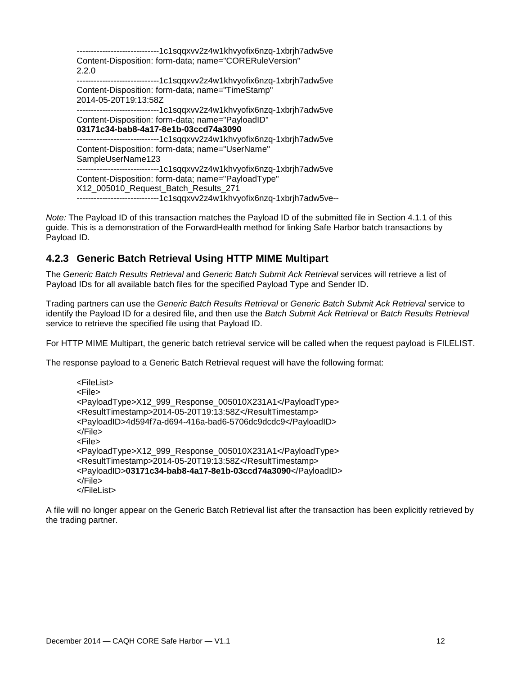-----------------------------1c1sqqxvv2z4w1khvyofix6nzq-1xbrjh7adw5ve Content-Disposition: form-data; name="CORERuleVersion" 2.2.0 -----------------------------1c1sqqxvv2z4w1khvyofix6nzq-1xbrjh7adw5ve Content-Disposition: form-data; name="TimeStamp" 2014-05-20T19:13:58Z -----------------------------1c1sqqxvv2z4w1khvyofix6nzq-1xbrjh7adw5ve Content-Disposition: form-data; name="PayloadID" **03171c34-bab8-4a17-8e1b-03ccd74a3090**  -----------------------------1c1sqqxvv2z4w1khvyofix6nzq-1xbrjh7adw5ve Content-Disposition: form-data; name="UserName" SampleUserName123 -----------------------------1c1sqqxvv2z4w1khvyofix6nzq-1xbrjh7adw5ve Content-Disposition: form-data; name="PayloadType" X12\_005010\_Request\_Batch\_Results\_271 -----------------------------1c1sqqxvv2z4w1khvyofix6nzq-1xbrjh7adw5ve--

*Note:* The Payload ID of this transaction matches the Payload ID of the submitted file in Section 4.1.1 of this guide. This is a demonstration of the ForwardHealth method for linking Safe Harbor batch transactions by Payload ID.

#### **4.2.3 Generic Batch Retrieval Using HTTP MIME Multipart**

The *Generic Batch Results Retrieval* and *Generic Batch Submit Ack Retrieval* services will retrieve a list of Payload IDs for all available batch files for the specified Payload Type and Sender ID.

Trading partners can use the *Generic Batch Results Retrieval* or *Generic Batch Submit Ack Retrieval* service to identify the Payload ID for a desired file, and then use the *Batch Submit Ack Retrieval* or *Batch Results Retrieval*  service to retrieve the specified file using that Payload ID.

For HTTP MIME Multipart, the generic batch retrieval service will be called when the request payload is FILELIST.

The response payload to a Generic Batch Retrieval request will have the following format:

```
<FileList> 
<File> 
<PayloadType>X12_999_Response_005010X231A1</PayloadType> 
<ResultTimestamp>2014-05-20T19:13:58Z</ResultTimestamp> 
<PayloadID>4d594f7a-d694-416a-bad6-5706dc9dcdc9</PayloadID> 
</File> 
<File> 
<PayloadType>X12_999_Response_005010X231A1</PayloadType> 
<ResultTimestamp>2014-05-20T19:13:58Z</ResultTimestamp> 
<PayloadID>03171c34-bab8-4a17-8e1b-03ccd74a3090</PayloadID> 
</File> 
</FileList>
```
A file will no longer appear on the Generic Batch Retrieval list after the transaction has been explicitly retrieved by the trading partner.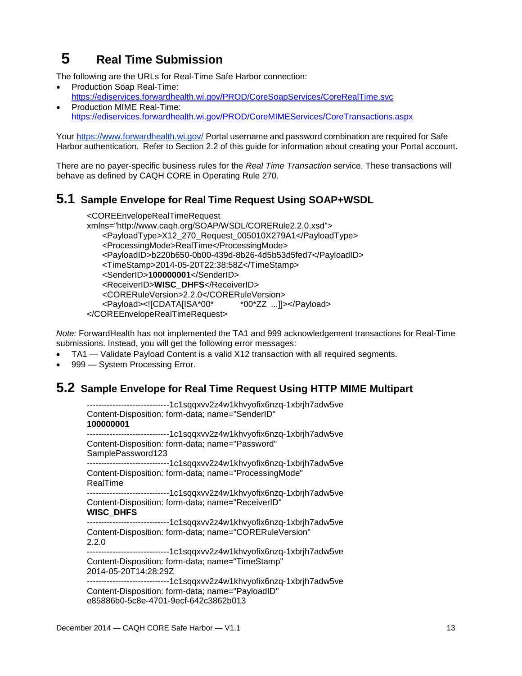## <span id="page-13-0"></span>**5 Real Time Submission**

The following are the URLs for Real-Time Safe Harbor connection:

- Production Soap Real-Time: <https://ediservices.forwardhealth.wi.gov/PROD/CoreSoapServices/CoreRealTime.svc> • Production MIME Real-Time:
- <https://ediservices.forwardhealth.wi.gov/PROD/CoreMIMEServices/CoreTransactions.aspx>

Your<https://www.forwardhealth.wi.gov/> Portal username and password combination are required for Safe Harbor authentication. Refer to Section 2.2 of this guide for information about creating your Portal account.

There are no payer-specific business rules for the *Real Time Transaction* service. These transactions will behave as defined by CAQH CORE in Operating Rule 270.

#### <span id="page-13-1"></span>**5.1 Sample Envelope for Real Time Request Using SOAP+WSDL**

<COREEnvelopeRealTimeRequest xmlns=["http://www.caqh.org/SOAP/WSDL/CORERule2.2.0.xsd"](http://www.caqh.org/SOAP/WSDL/CORERule2.2.0.xsd)> <PayloadType>X12\_270\_Request\_005010X279A1</PayloadType> <ProcessingMode>RealTime</ProcessingMode> <PayloadID>b220b650-0b00-439d-8b26-4d5b53d5fed7</PayloadID> <TimeStamp>2014-05-20T22:38:58Z</TimeStamp> <SenderID>**100000001**</SenderID> <ReceiverID>**WISC\_DHFS**</ReceiverID> <CORERuleVersion>2.2.0</CORERuleVersion> <Payload><![CDATA[ISA\*00\* \*00\*ZZ ...]]></Payload> </COREEnvelopeRealTimeRequest>

*Note:* ForwardHealth has not implemented the TA1 and 999 acknowledgement transactions for Real-Time submissions. Instead, you will get the following error messages:

- TA1 Validate Payload Content is a valid X12 transaction with all required segments.
- <span id="page-13-2"></span>• 999 – System Processing Error.

#### **5.2 Sample Envelope for Real Time Request Using HTTP MIME Multipart**

```
-----------------------------1c1sqqxvv2z4w1khvyofix6nzq-1xbrjh7adw5ve 
Content-Disposition: form-data; name="SenderID" 
100000001 
-----------------------------1c1sqqxvv2z4w1khvyofix6nzq-1xbrjh7adw5ve 
Content-Disposition: form-data; name="Password" 
SamplePassword123 
-----------------------------1c1sqqxvv2z4w1khvyofix6nzq-1xbrjh7adw5ve 
Content-Disposition: form-data; name="ProcessingMode" 
RealTime 
-----------------------------1c1sqqxvv2z4w1khvyofix6nzq-1xbrjh7adw5ve 
Content-Disposition: form-data; name="ReceiverID" 
WISC_DHFS 
-----------------------------1c1sqqxvv2z4w1khvyofix6nzq-1xbrjh7adw5ve 
Content-Disposition: form-data; name="CORERuleVersion" 
2.2.0 
           -----------------------------1c1sqqxvv2z4w1khvyofix6nzq-1xbrjh7adw5ve 
Content-Disposition: form-data; name="TimeStamp" 
2014-05-20T14:28:29Z 
-----------------------------1c1sqqxvv2z4w1khvyofix6nzq-1xbrjh7adw5ve 
Content-Disposition: form-data; name="PayloadID" 
e85886b0-5c8e-4701-9ecf-642c3862b013
```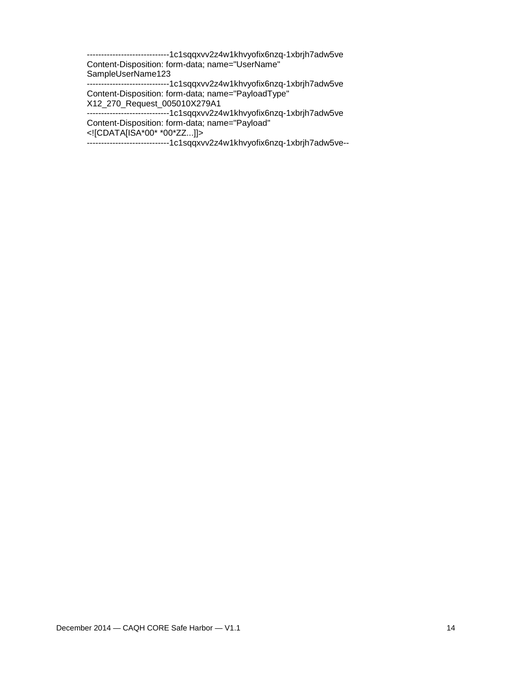-----------------------------1c1sqqxvv2z4w1khvyofix6nzq-1xbrjh7adw5ve Content-Disposition: form-data; name="UserName" SampleUserName123

-----------------------------1c1sqqxvv2z4w1khvyofix6nzq-1xbrjh7adw5ve Content-Disposition: form-data; name="PayloadType" X12\_270\_Request\_005010X279A1

-----------------------------1c1sqqxvv2z4w1khvyofix6nzq-1xbrjh7adw5ve Content-Disposition: form-data; name="Payload"

<![CDATA[ISA\*00\* \*00\*ZZ...]]>

-----------------------------1c1sqqxvv2z4w1khvyofix6nzq-1xbrjh7adw5ve--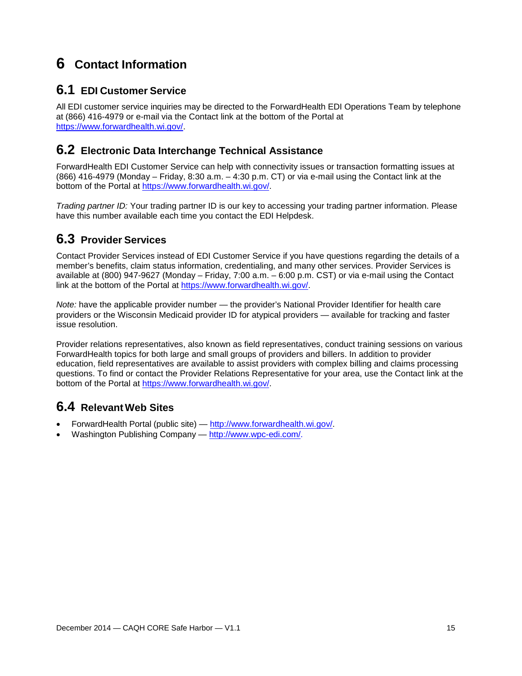# <span id="page-15-0"></span>**6 Contact Information**

### <span id="page-15-1"></span>**6.1 EDI Customer Service**

All EDI customer service inquiries may be directed to the ForwardHealth EDI Operations Team by telephone at (866) 416-4979 or e-mail via the Contact link at the bottom of the Portal at [https://www.forwardhealth.wi.gov/.](https://www.forwardhealth.wi.gov/)

#### <span id="page-15-2"></span>**6.2 Electronic Data Interchange Technical Assistance**

ForwardHealth EDI Customer Service can help with connectivity issues or transaction formatting issues at (866) 416-4979 (Monday – Friday, 8:30 a.m. – 4:30 p.m. CT) or via e-mail using the Contact link at the bottom of the Portal at [https://www.forwardhealth.wi.gov/.](https://www.forwardhealth.wi.gov/)

*Trading partner ID:* Your trading partner ID is our key to accessing your trading partner information. Please have this number available each time you contact the EDI Helpdesk.

### <span id="page-15-3"></span>**6.3 Provider Services**

Contact Provider Services instead of EDI Customer Service if you have questions regarding the details of a member's benefits, claim status information, credentialing, and many other services. Provider Services is available at (800) 947-9627 (Monday – Friday, 7:00 a.m. – 6:00 p.m. CST) or via e-mail using the Contact link at the bottom of the Portal at [https://www.forwardhealth.wi.gov/.](https://www.forwardhealth.wi.gov/)

*Note:* have the applicable provider number — the provider's National Provider Identifier for health care providers or the Wisconsin Medicaid provider ID for atypical providers — available for tracking and faster issue resolution.

Provider relations representatives, also known as field representatives, conduct training sessions on various ForwardHealth topics for both large and small groups of providers and billers. In addition to provider education, field representatives are available to assist providers with complex billing and claims processing questions. To find or contact the Provider Relations Representative for your area, use the Contact link at the bottom of the Portal at [https://www.forwardhealth.wi.gov/.](https://www.forwardhealth.wi.gov/)

### <span id="page-15-4"></span>**6.4 RelevantWeb Sites**

- ForwardHealth Portal (public site) [http://www.forwardhealth.wi.gov/.](http://www.mymedicaid-florida.com/)
- Washington Publishing Company [http://www.wpc-edi.com/.](http://www.wpc-edi.com/)